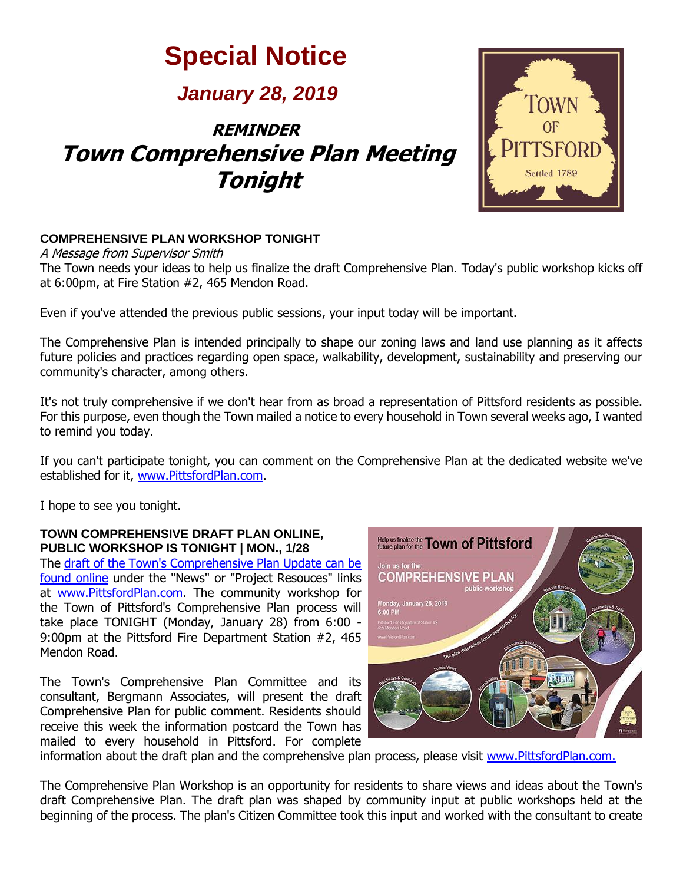# **Special Notice**

### *January 28, 2019*

## **REMINDER Town Comprehensive Plan Meeting Tonight**



#### **COMPREHENSIVE PLAN WORKSHOP TONIGHT**

A Message from Supervisor Smith The Town needs your ideas to help us finalize the draft Comprehensive Plan. Today's public workshop kicks off at 6:00pm, at Fire Station #2, 465 Mendon Road.

Even if you've attended the previous public sessions, your input today will be important.

The Comprehensive Plan is intended principally to shape our zoning laws and land use planning as it affects future policies and practices regarding open space, walkability, development, sustainability and preserving our community's character, among others.

It's not truly comprehensive if we don't hear from as broad a representation of Pittsford residents as possible. For this purpose, even though the Town mailed a notice to every household in Town several weeks ago, I wanted to remind you today.

If you can't participate tonight, you can comment on the Comprehensive Plan at the dedicated website we've established for it, [www.PittsfordPlan.com.](http://r20.rs6.net/tn.jsp?f=001LKJRRM0LAUfVwsL1brN50ihFaqI83zzAfUsEDAB8d16XVXU5vQfWWW5C10pNxswyvGmjM-HcF8AUb-tIhjg8DPIx6fXMw_z4S8kY3DrSj4fxLS2lY7UUCV39s6r-4xIHkCuppkNJXz8GDBFUnnmdHPp1y0dYsaRNNvAAEZy2GqkOgy6JQP7d1msWeIk9267a15bp_xqmO0h5DnsJpVVOEFlKLKpFKyFEj42-0HFbiT2LfkxXst5jWIdM36rQj1LqIrfPYTb7KXxPje7SQ4HK1DaqrF0ZDibVZXbOVftd5l3EOqY1oUXSP0ASHbmPQZkU6RcWOpiAv_5tdJF6LHtLYPTdSIgns44QZBrxPfchzF-xGIgfV9z5EktAjULRDn7oyy8PHa9Z8iE=&c=_RBCpPFZyXSrZ9ERs93QIusRYYOsn-o3gm4hY8T7Anddph4pDj1a1g==&ch=zLks3LzkcDpLtulgcKBo8hIYsgT4v_QzssZI8tZr7OtLUqlaQsE-Ww==)

I hope to see you tonight.

#### **TOWN COMPREHENSIVE DRAFT PLAN ONLINE, PUBLIC WORKSHOP IS TONIGHT | MON., 1/28**

The [draft of the Town's Comprehensive Plan Update can be](http://r20.rs6.net/tn.jsp?f=001LKJRRM0LAUfVwsL1brN50ihFaqI83zzAfUsEDAB8d16XVXU5vQfWWUecFRTPqDLx4msLv7Gn4k3Ns-JSGSgUs89mTNM4GoIwXmqQoVvLQkDCcdUxklEZibRrdCUbVfLKEZjnO1dWQ9o1qVUWnLjPWNrhFwwWrxiTf3pu1hrVhiMVTaN-8Z0dKO-9oPlw-Yb0Xb7vIRE2m5Rmkz93K4lvS_gMZEBPhKo7VAvhwwFm4GmFVPnr8mBvm4gGZfJrE30G5IXak_UPkVTLLl9UK0pB06WEKzKbHbvWkC2Nt6gGmd8xf6W-QpSq2kQBoclmEmSLvKQ0lk8zOxzfAD7jBvwUnU3GOcCRQjw_p67gLrSWDtTbzJ58KVrbnjmo47x2Edec0vS784giDgX1YtA5t2Z4qfucGzy7f9QRQyMtWjwPeA2m69hHDSVn1o3viE-OIE2fkhmjRBFELKEpS5siaV2MPlkLt43FChUAyRjLuTbAs0vshK6DPJH5qw==&c=_RBCpPFZyXSrZ9ERs93QIusRYYOsn-o3gm4hY8T7Anddph4pDj1a1g==&ch=zLks3LzkcDpLtulgcKBo8hIYsgT4v_QzssZI8tZr7OtLUqlaQsE-Ww==)  [found online](http://r20.rs6.net/tn.jsp?f=001LKJRRM0LAUfVwsL1brN50ihFaqI83zzAfUsEDAB8d16XVXU5vQfWWUecFRTPqDLx4msLv7Gn4k3Ns-JSGSgUs89mTNM4GoIwXmqQoVvLQkDCcdUxklEZibRrdCUbVfLKEZjnO1dWQ9o1qVUWnLjPWNrhFwwWrxiTf3pu1hrVhiMVTaN-8Z0dKO-9oPlw-Yb0Xb7vIRE2m5Rmkz93K4lvS_gMZEBPhKo7VAvhwwFm4GmFVPnr8mBvm4gGZfJrE30G5IXak_UPkVTLLl9UK0pB06WEKzKbHbvWkC2Nt6gGmd8xf6W-QpSq2kQBoclmEmSLvKQ0lk8zOxzfAD7jBvwUnU3GOcCRQjw_p67gLrSWDtTbzJ58KVrbnjmo47x2Edec0vS784giDgX1YtA5t2Z4qfucGzy7f9QRQyMtWjwPeA2m69hHDSVn1o3viE-OIE2fkhmjRBFELKEpS5siaV2MPlkLt43FChUAyRjLuTbAs0vshK6DPJH5qw==&c=_RBCpPFZyXSrZ9ERs93QIusRYYOsn-o3gm4hY8T7Anddph4pDj1a1g==&ch=zLks3LzkcDpLtulgcKBo8hIYsgT4v_QzssZI8tZr7OtLUqlaQsE-Ww==) under the "News" or "Project Resouces" links at [www.PittsfordPlan.com.](http://r20.rs6.net/tn.jsp?f=001LKJRRM0LAUfVwsL1brN50ihFaqI83zzAfUsEDAB8d16XVXU5vQfWWW5C10pNxswyvGmjM-HcF8AUb-tIhjg8DPIx6fXMw_z4S8kY3DrSj4fxLS2lY7UUCV39s6r-4xIHkCuppkNJXz8GDBFUnnmdHPp1y0dYsaRNNvAAEZy2GqkOgy6JQP7d1msWeIk9267a15bp_xqmO0h5DnsJpVVOEFlKLKpFKyFEj42-0HFbiT2LfkxXst5jWIdM36rQj1LqIrfPYTb7KXxPje7SQ4HK1DaqrF0ZDibVZXbOVftd5l3EOqY1oUXSP0ASHbmPQZkU6RcWOpiAv_5tdJF6LHtLYPTdSIgns44QZBrxPfchzF-xGIgfV9z5EktAjULRDn7oyy8PHa9Z8iE=&c=_RBCpPFZyXSrZ9ERs93QIusRYYOsn-o3gm4hY8T7Anddph4pDj1a1g==&ch=zLks3LzkcDpLtulgcKBo8hIYsgT4v_QzssZI8tZr7OtLUqlaQsE-Ww==) The community workshop for the Town of Pittsford's Comprehensive Plan process will take place TONIGHT (Monday, January 28) from 6:00 - 9:00pm at the Pittsford Fire Department Station #2, 465 Mendon Road.

The Town's Comprehensive Plan Committee and its consultant, Bergmann Associates, will present the draft Comprehensive Plan for public comment. Residents should receive this week the information postcard the Town has mailed to every household in Pittsford. For complete



information about the draft plan and the comprehensive plan process, please visit [www.PittsfordPlan.com.](http://r20.rs6.net/tn.jsp?f=001LKJRRM0LAUfVwsL1brN50ihFaqI83zzAfUsEDAB8d16XVXU5vQfWWW5C10pNxswy43PDAWGAb_JY-VQqFzWslEg9EAbTKfall69d8Y7ebhU4fbA_yBjygzfaOfjWMy7q3AGDwtrzIX5_fC1YADIA_Wt6VX5hiUgoaphtRDTUKgNo3F3WPjTHf7SadtHfPBVjqjYCNz-4jLy2sQ-C0VgeegCn1wX81sdNthMTIDJ56XI8sINpVXl4IY901BMq5DtNP9UCHH2BZ-JUBGBemZWnxh_4JPbZmSHr_mPke_GPL8kMnJ0Uo9k0fan5Goy_GZGIN4exIJAgVxY3FlilYaL3QFrjRds2WDGgMK7tMln565xsAtywBeXesQaLTYnxxavdxqUIDap9WDikrjXbBwh9mA==&c=_RBCpPFZyXSrZ9ERs93QIusRYYOsn-o3gm4hY8T7Anddph4pDj1a1g==&ch=zLks3LzkcDpLtulgcKBo8hIYsgT4v_QzssZI8tZr7OtLUqlaQsE-Ww==)

The Comprehensive Plan Workshop is an opportunity for residents to share views and ideas about the Town's draft Comprehensive Plan. The draft plan was shaped by community input at public workshops held at the beginning of the process. The plan's Citizen Committee took this input and worked with the consultant to create